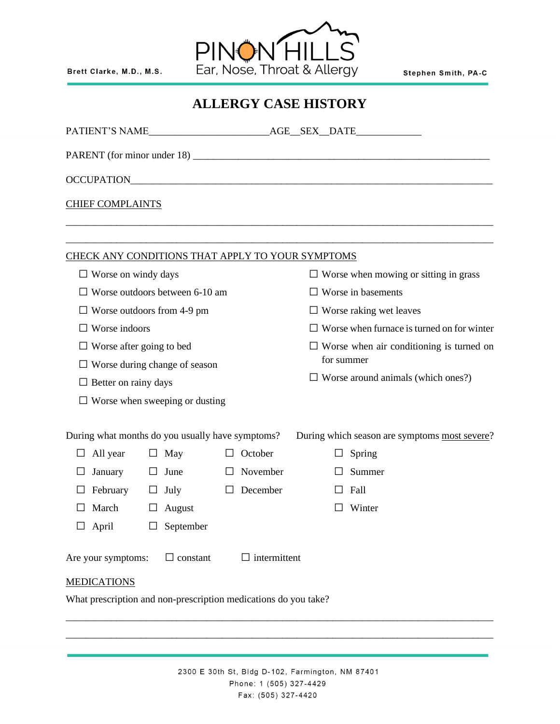Brett Clarke, M.D., M.S.



Stephen Smith, PA-C

|                | <b>CHIEF COMPLAINTS</b>                                                                      |                                                  |                                |                                     |                                                                                                    |                                                        |        |                                                                                     |  |  |  |
|----------------|----------------------------------------------------------------------------------------------|--------------------------------------------------|--------------------------------|-------------------------------------|----------------------------------------------------------------------------------------------------|--------------------------------------------------------|--------|-------------------------------------------------------------------------------------|--|--|--|
|                |                                                                                              |                                                  |                                |                                     |                                                                                                    |                                                        |        |                                                                                     |  |  |  |
|                |                                                                                              |                                                  |                                |                                     | CHECK ANY CONDITIONS THAT APPLY TO YOUR SYMPTOMS                                                   |                                                        |        |                                                                                     |  |  |  |
| $\bullet$      | Worse on windy days                                                                          |                                                  |                                |                                     | Worse when mowing or sitting in grass<br>$\bullet$                                                 |                                                        |        |                                                                                     |  |  |  |
| $\bullet$      |                                                                                              |                                                  | Worse outdoors between 6-10 am |                                     | Worse in basements<br>٠                                                                            |                                                        |        |                                                                                     |  |  |  |
| ٠              |                                                                                              |                                                  | Worse outdoors from 4-9 pm     |                                     |                                                                                                    | ٠                                                      |        | Worse raking wet leaves                                                             |  |  |  |
|                | Worse indoors                                                                                |                                                  |                                |                                     |                                                                                                    |                                                        |        | Worse when furnace is turned on for winter                                          |  |  |  |
| ٠              | Worse after going to bed                                                                     |                                                  |                                |                                     |                                                                                                    | Worse when air conditioning is turned on<br>for summer |        |                                                                                     |  |  |  |
|                |                                                                                              |                                                  | Worse during change of season  |                                     |                                                                                                    | Worse around animals (which ones?)                     |        |                                                                                     |  |  |  |
| $\bullet$      | Better on rainy days                                                                         |                                                  | Worse when sweeping or dusting |                                     |                                                                                                    |                                                        |        |                                                                                     |  |  |  |
| ٠<br>$\bullet$ | During what months do you usually have symptoms?<br>All year<br>January<br>February<br>March | $\bullet$<br>$\bullet$<br>$\bullet$<br>$\bullet$ | May<br>June<br>July<br>August  | $\bullet$<br>$\bullet$<br>$\bullet$ | October<br>November<br>December                                                                    |                                                        | ٠<br>٠ | During which season are symptoms most severe?<br>Spring<br>Summer<br>Fall<br>Winter |  |  |  |
|                | April                                                                                        |                                                  | September                      |                                     |                                                                                                    |                                                        |        |                                                                                     |  |  |  |
|                | Are your symptoms:<br><b>MEDICATIONS</b>                                                     |                                                  | constant                       |                                     | intermittent                                                                                       |                                                        |        |                                                                                     |  |  |  |
|                |                                                                                              |                                                  |                                |                                     | What prescription and non-prescription medications do you take?                                    |                                                        |        |                                                                                     |  |  |  |
|                |                                                                                              |                                                  |                                |                                     | 2300 E 30th St, Bldg D-102, Farmington, NM 87401<br>Phone: 1 (505) 327-4429<br>Fax: (505) 327-4420 |                                                        |        |                                                                                     |  |  |  |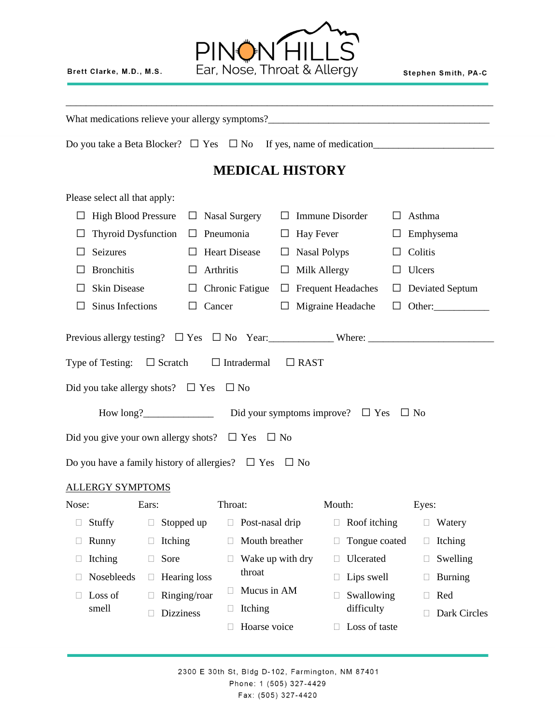Brett Clarke, M.D., M.S.



\_\_\_\_\_\_\_\_\_\_\_\_\_\_\_\_\_\_\_\_\_\_\_\_\_\_\_\_\_\_\_\_\_\_\_\_\_\_\_\_\_\_\_\_\_\_\_\_\_\_\_\_\_\_\_\_\_\_\_\_\_\_\_\_\_\_\_\_\_\_\_\_\_\_\_\_\_\_\_\_\_\_\_\_\_

What medications relieve your allergy symptoms?\_\_\_\_\_\_\_\_\_\_\_\_\_\_\_\_\_\_\_\_\_\_\_\_\_\_\_\_\_\_\_\_\_\_\_\_\_\_\_\_\_\_\_\_

Do you take a Beta Blocker? • Yes • No If yes, name of medication\_\_\_\_\_\_\_\_\_\_\_\_\_\_\_\_

## **MEDICAL HISTORY**

Please select all that apply:

|                                                                       | High Blood Pressure • Nasal Surgery                                                                         |           |                 | $\bullet$ | <b>Immune Disorder</b>               | $\bullet$ | Asthma            |
|-----------------------------------------------------------------------|-------------------------------------------------------------------------------------------------------------|-----------|-----------------|-----------|--------------------------------------|-----------|-------------------|
| $\bullet$                                                             | Thyroid Dysfunction $\bullet$                                                                               |           | Pneumonia       |           | $\bullet$ Hay Fever                  |           | • Emphysema       |
| $\bullet$                                                             | Seizures                                                                                                    |           | • Heart Disease |           | • Nasal Polyps                       | $\bullet$ | Colitis           |
| $\bullet$                                                             | <b>Bronchitis</b>                                                                                           | $\bullet$ | Arthritis       | $\bullet$ | Milk Allergy                         | $\bullet$ | Ulcers            |
| $\bullet$                                                             | Skin Disease<br>$\bullet$                                                                                   |           |                 |           | Chronic Fatigue • Frequent Headaches |           | • Deviated Septum |
| Sinus Infections<br>Cancer<br>$\bullet$<br>$\bullet$                  |                                                                                                             |           |                 |           | • Migraine Headache • Other:         |           |                   |
|                                                                       | Previous allergy testing? • Yes • No Year: Where: Where:<br>Type of Testing: • Scratch • Intradermal • RAST |           |                 |           |                                      |           |                   |
|                                                                       | Did you take allergy shots? $\bullet$ Yes $\bullet$ No                                                      |           |                 |           |                                      |           |                   |
|                                                                       |                                                                                                             |           |                 |           |                                      |           |                   |
|                                                                       | Did you give your own allergy shots? • Yes • No                                                             |           |                 |           |                                      |           |                   |
| Do you have a family history of allergies? $\bullet$ Yes $\bullet$ No |                                                                                                             |           |                 |           |                                      |           |                   |
|                                                                       | <u>ALLERGY SYMPTOMS</u>                                                                                     |           |                 |           |                                      |           |                   |
|                                                                       | $\mathbf{r}$ and $\mathbf{r}$                                                                               |           |                 |           |                                      |           |                   |

| Nose: |                   | Ears:                    |                  | Throat: |                  | Mouth: |                   | Eyes: |                |
|-------|-------------------|--------------------------|------------------|---------|------------------|--------|-------------------|-------|----------------|
|       | Stuffy            |                          | Stopped up       |         | Post-nasal drip  |        | Roof itching      |       | Watery         |
|       | Runny             | $\overline{\phantom{a}}$ | Itching          |         | Mouth breather   |        | Tongue coated     |       | Itching        |
|       | Itching           | $\mathbf{L}$             | Sore             |         | Wake up with dry |        | <b>U</b> lcerated |       | Swelling       |
|       | <b>Nosebleeds</b> |                          | Hearing loss     |         | throat           |        | Lips swell        |       | <b>Burning</b> |
|       | Loss of           |                          | Ringing/roar     |         | Mucus in AM      |        | Swallowing        |       | Red            |
|       | smell             |                          | <b>Dizziness</b> |         | Itching          |        | difficulty        |       | Dark Circles   |
|       |                   |                          |                  |         | Hoarse voice     |        | Loss of taste     |       |                |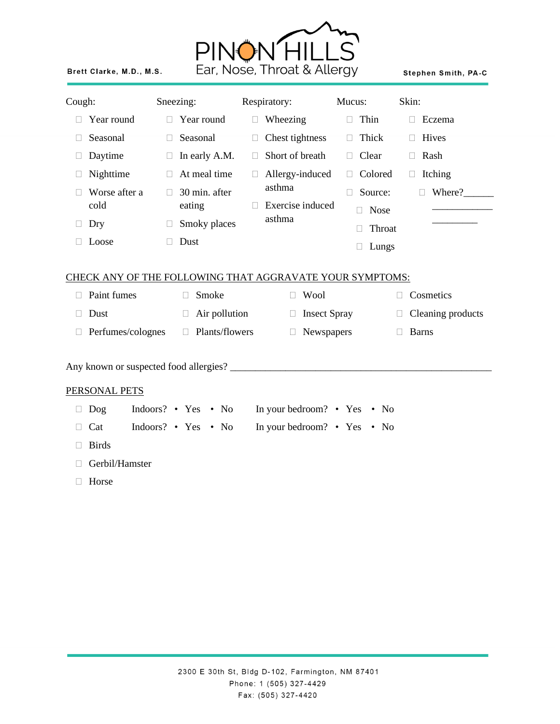

Brett Clarke, M.D., M.S.

Stephen Smith, PA-C

| Cough:                      |                                        |   | Sneezing:                |        | Respiratory:                                             | Mucus:                           | Skin:                       |  |
|-----------------------------|----------------------------------------|---|--------------------------|--------|----------------------------------------------------------|----------------------------------|-----------------------------|--|
|                             | Year round<br>П                        |   | Year round               | П.     | Wheezing                                                 | Thin<br>$\Box$                   | Eczema<br>П                 |  |
| П                           | Seasonal<br>П                          |   | Seasonal                 | П      | Chest tightness                                          | Thick<br>П                       | Hives<br>П                  |  |
| $\Box$                      | Daytime<br>$\Box$                      |   | In early A.M.            | 0      | Short of breath                                          | Clear<br>$\Box$                  | Rash<br>$\Box$              |  |
| $\Box$                      | Nighttime<br>$\mathbb{R}^n$            |   | At meal time             | $\Box$ | Allergy-induced                                          | Colored<br>$\mathbb{R}^n$        | Itching<br>$\Box$           |  |
| П                           | Worse after a<br>П<br>cold<br>Dry<br>□ |   | 30 min. after<br>eating  |        | asthma<br>Exercise induced                               | Source:<br>П<br><b>Nose</b><br>П | Where?<br>П                 |  |
| Ц                           |                                        |   | Smoky places             |        | asthma                                                   | Throat<br>П                      |                             |  |
|                             | Loose                                  | П | Dust                     |        |                                                          | Lungs<br>□                       |                             |  |
|                             |                                        |   |                          |        | CHECK ANY OF THE FOLLOWING THAT AGGRAVATE YOUR SYMPTOMS: |                                  |                             |  |
| П                           | Paint fumes                            |   | Smoke<br>П               |        | Wool<br>П                                                |                                  | Cosmetics<br>$\Box$         |  |
| $\Box$                      | Dust                                   |   | Air pollution<br>$\Box$  |        | <b>Insect Spray</b><br>$\Box$                            |                                  | Cleaning products<br>$\Box$ |  |
| Perfumes/colognes<br>$\Box$ |                                        |   | Plants/flowers<br>$\Box$ |        | Newspapers<br>$\Box$                                     |                                  | <b>Barns</b><br>$\Box$      |  |
|                             |                                        |   |                          |        |                                                          |                                  |                             |  |
|                             | PERSONAL PETS                          |   |                          |        |                                                          |                                  |                             |  |
| $\Box$                      | Dog                                    |   | Indoors? • Yes • No      |        | In your bedroom? • Yes • No                              |                                  |                             |  |
|                             | Cat                                    |   | Indoors? • Yes • No      |        | In your bedroom? • Yes • No                              |                                  |                             |  |
| П                           | <b>Birds</b>                           |   |                          |        |                                                          |                                  |                             |  |
| Gerbil/Hamster<br>П         |                                        |   |                          |        |                                                          |                                  |                             |  |
|                             | Horse                                  |   |                          |        |                                                          |                                  |                             |  |
|                             |                                        |   |                          |        |                                                          |                                  |                             |  |